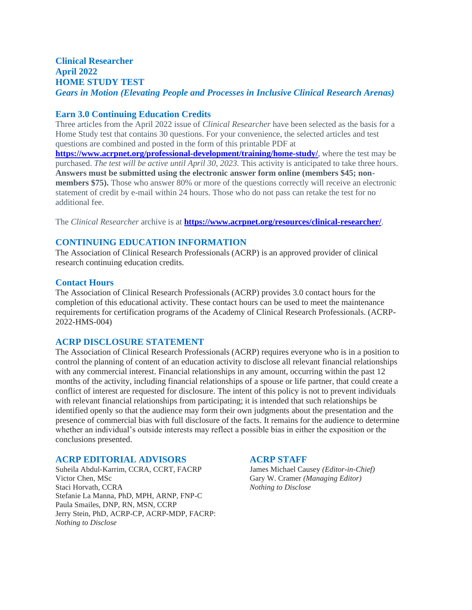# **Clinical Researcher April 2022 HOME STUDY TEST** *Gears in Motion (Elevating People and Processes in Inclusive Clinical Research Arenas)*

# **Earn 3.0 Continuing Education Credits**

Three articles from the April 2022 issue of *Clinical Researcher* have been selected as the basis for a Home Study test that contains 30 questions. For your convenience, the selected articles and test questions are combined and posted in the form of this printable PDF at **<https://www.acrpnet.org/professional-development/training/home-study/>**, where the test may be purchased. *The test will be active until April 30, 2023.* This activity is anticipated to take three hours. **Answers must be submitted using the electronic answer form online (members \$45; nonmembers \$75).** Those who answer 80% or more of the questions correctly will receive an electronic statement of credit by e-mail within 24 hours. Those who do not pass can retake the test for no additional fee.

The *Clinical Researcher* archive is at **<https://www.acrpnet.org/resources/clinical-researcher/>**.

# **CONTINUING EDUCATION INFORMATION**

The Association of Clinical Research Professionals (ACRP) is an approved provider of clinical research continuing education credits.

# **Contact Hours**

The Association of Clinical Research Professionals (ACRP) provides 3.0 contact hours for the completion of this educational activity. These contact hours can be used to meet the maintenance requirements for certification programs of the Academy of Clinical Research Professionals. (ACRP-2022-HMS-004)

# **ACRP DISCLOSURE STATEMENT**

The Association of Clinical Research Professionals (ACRP) requires everyone who is in a position to control the planning of content of an education activity to disclose all relevant financial relationships with any commercial interest. Financial relationships in any amount, occurring within the past 12 months of the activity, including financial relationships of a spouse or life partner, that could create a conflict of interest are requested for disclosure. The intent of this policy is not to prevent individuals with relevant financial relationships from participating; it is intended that such relationships be identified openly so that the audience may form their own judgments about the presentation and the presence of commercial bias with full disclosure of the facts. It remains for the audience to determine whether an individual's outside interests may reflect a possible bias in either the exposition or the conclusions presented.

#### **ACRP EDITORIAL ADVISORS ACRP STAFF**

Suheila Abdul-Karrim, CCRA, CCRT, FACRP James Michael Causey *(Editor-in-Chief)* Victor Chen, MSc Gary W. Cramer *(Managing Editor)* Gary W. Cramer *(Managing Editor)* Staci Horvath, CCRA *Nothing to Disclose* Stefanie La Manna, PhD, MPH, ARNP, FNP-C Paula Smailes, DNP, RN, MSN, CCRP Jerry Stein, PhD, ACRP-CP, ACRP-MDP, FACRP: *Nothing to Disclose*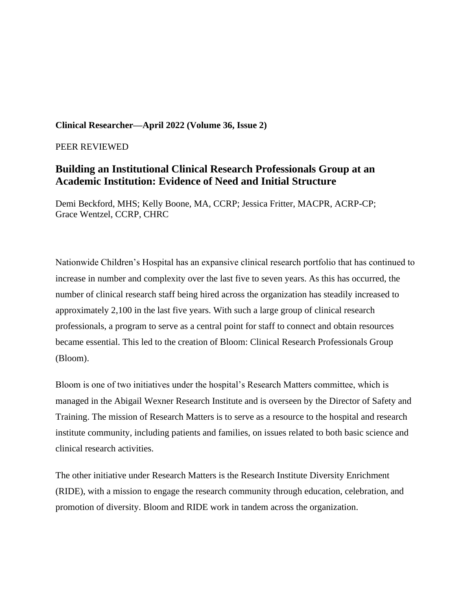# **Clinical Researcher—April 2022 (Volume 36, Issue 2)**

PEER REVIEWED

# **Building an Institutional Clinical Research Professionals Group at an Academic Institution: Evidence of Need and Initial Structure**

Demi Beckford, MHS; Kelly Boone, MA, CCRP; Jessica Fritter, MACPR, ACRP-CP; Grace Wentzel, CCRP, CHRC

Nationwide Children's Hospital has an expansive clinical research portfolio that has continued to increase in number and complexity over the last five to seven years. As this has occurred, the number of clinical research staff being hired across the organization has steadily increased to approximately 2,100 in the last five years. With such a large group of clinical research professionals, a program to serve as a central point for staff to connect and obtain resources became essential. This led to the creation of Bloom: Clinical Research Professionals Group (Bloom).

Bloom is one of two initiatives under the hospital's Research Matters committee, which is managed in the Abigail Wexner Research Institute and is overseen by the Director of Safety and Training. The mission of Research Matters is to serve as a resource to the hospital and research institute community, including patients and families, on issues related to both basic science and clinical research activities.

The other initiative under Research Matters is the Research Institute Diversity Enrichment (RIDE), with a mission to engage the research community through education, celebration, and promotion of diversity. Bloom and RIDE work in tandem across the organization.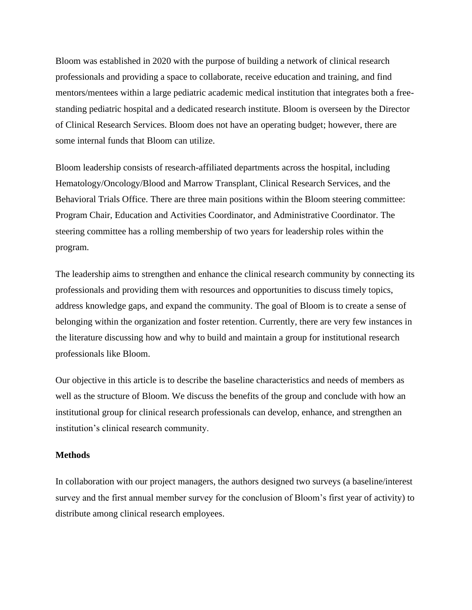Bloom was established in 2020 with the purpose of building a network of clinical research professionals and providing a space to collaborate, receive education and training, and find mentors/mentees within a large pediatric academic medical institution that integrates both a freestanding pediatric hospital and a dedicated research institute. Bloom is overseen by the Director of Clinical Research Services. Bloom does not have an operating budget; however, there are some internal funds that Bloom can utilize.

Bloom leadership consists of research-affiliated departments across the hospital, including Hematology/Oncology/Blood and Marrow Transplant, Clinical Research Services, and the Behavioral Trials Office. There are three main positions within the Bloom steering committee: Program Chair, Education and Activities Coordinator, and Administrative Coordinator. The steering committee has a rolling membership of two years for leadership roles within the program.

The leadership aims to strengthen and enhance the clinical research community by connecting its professionals and providing them with resources and opportunities to discuss timely topics, address knowledge gaps, and expand the community. The goal of Bloom is to create a sense of belonging within the organization and foster retention. Currently, there are very few instances in the literature discussing how and why to build and maintain a group for institutional research professionals like Bloom.

Our objective in this article is to describe the baseline characteristics and needs of members as well as the structure of Bloom. We discuss the benefits of the group and conclude with how an institutional group for clinical research professionals can develop, enhance, and strengthen an institution's clinical research community.

#### **Methods**

In collaboration with our project managers, the authors designed two surveys (a baseline/interest survey and the first annual member survey for the conclusion of Bloom's first year of activity) to distribute among clinical research employees.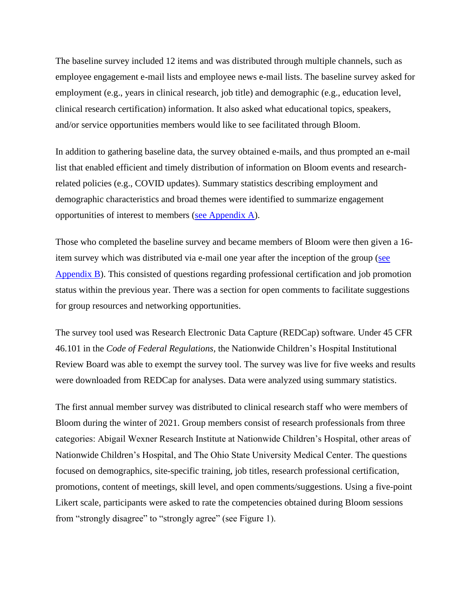The baseline survey included 12 items and was distributed through multiple channels, such as employee engagement e-mail lists and employee news e-mail lists. The baseline survey asked for employment (e.g., years in clinical research, job title) and demographic (e.g., education level, clinical research certification) information. It also asked what educational topics, speakers, and/or service opportunities members would like to see facilitated through Bloom.

In addition to gathering baseline data, the survey obtained e-mails, and thus prompted an e-mail list that enabled efficient and timely distribution of information on Bloom events and researchrelated policies (e.g., COVID updates). Summary statistics describing employment and demographic characteristics and broad themes were identified to summarize engagement opportunities of interest to members [\(see Appendix A\)](https://acrpnet.org/wp-content/uploads/2022/04/BLOOM-Appendices-FINAL-2022.01.11.pdf).

Those who completed the baseline survey and became members of Bloom were then given a 16 item survey which was distributed via e-mail one year after the inception of the group (see [Appendix B\)](https://acrpnet.org/wp-content/uploads/2022/04/BLOOM-Appendices-FINAL-2022.01.11.pdf). This consisted of questions regarding professional certification and job promotion status within the previous year. There was a section for open comments to facilitate suggestions for group resources and networking opportunities.

The survey tool used was Research Electronic Data Capture (REDCap) software. Under 45 CFR 46.101 in the *Code of Federal Regulations,* the Nationwide Children's Hospital Institutional Review Board was able to exempt the survey tool. The survey was live for five weeks and results were downloaded from REDCap for analyses. Data were analyzed using summary statistics.

The first annual member survey was distributed to clinical research staff who were members of Bloom during the winter of 2021. Group members consist of research professionals from three categories: Abigail Wexner Research Institute at Nationwide Children's Hospital, other areas of Nationwide Children's Hospital, and The Ohio State University Medical Center. The questions focused on demographics, site-specific training, job titles, research professional certification, promotions, content of meetings, skill level, and open comments/suggestions. Using a five-point Likert scale, participants were asked to rate the competencies obtained during Bloom sessions from "strongly disagree" to "strongly agree" (see Figure 1).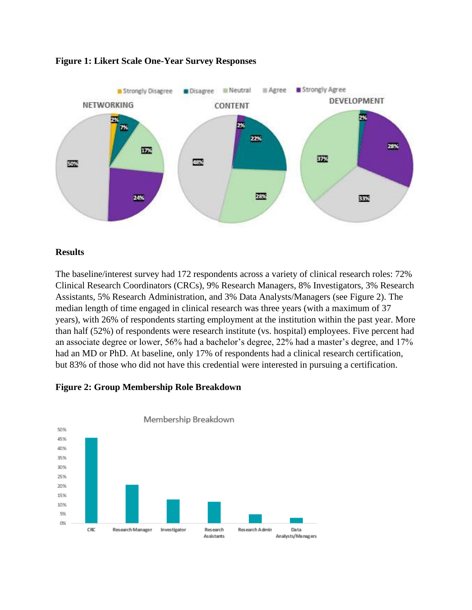

# **Figure 1: Likert Scale One-Year Survey Responses**

# **Results**

The baseline/interest survey had 172 respondents across a variety of clinical research roles: 72% Clinical Research Coordinators (CRCs), 9% Research Managers, 8% Investigators, 3% Research Assistants, 5% Research Administration, and 3% Data Analysts/Managers (see Figure 2). The median length of time engaged in clinical research was three years (with a maximum of 37 years), with 26% of respondents starting employment at the institution within the past year. More than half (52%) of respondents were research institute (vs. hospital) employees. Five percent had an associate degree or lower, 56% had a bachelor's degree, 22% had a master's degree, and 17% had an MD or PhD. At baseline, only 17% of respondents had a clinical research certification, but 83% of those who did not have this credential were interested in pursuing a certification.



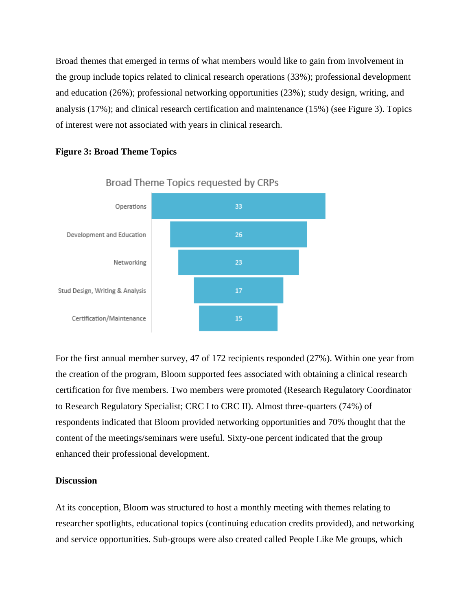Broad themes that emerged in terms of what members would like to gain from involvement in the group include topics related to clinical research operations (33%); professional development and education (26%); professional networking opportunities (23%); study design, writing, and analysis (17%); and clinical research certification and maintenance (15%) (see Figure 3). Topics of interest were not associated with years in clinical research.

# **Figure 3: Broad Theme Topics**



Broad Theme Topics requested by CRPs

For the first annual member survey, 47 of 172 recipients responded (27%). Within one year from the creation of the program, Bloom supported fees associated with obtaining a clinical research certification for five members. Two members were promoted (Research Regulatory Coordinator to Research Regulatory Specialist; CRC I to CRC II). Almost three-quarters (74%) of respondents indicated that Bloom provided networking opportunities and 70% thought that the content of the meetings/seminars were useful. Sixty-one percent indicated that the group enhanced their professional development.

# **Discussion**

At its conception, Bloom was structured to host a monthly meeting with themes relating to researcher spotlights, educational topics (continuing education credits provided), and networking and service opportunities. Sub-groups were also created called People Like Me groups, which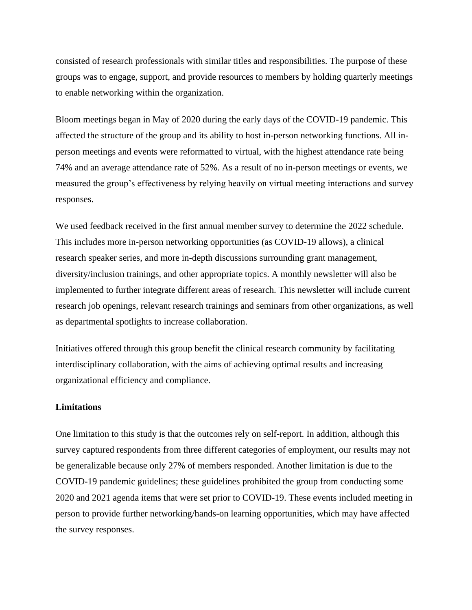consisted of research professionals with similar titles and responsibilities. The purpose of these groups was to engage, support, and provide resources to members by holding quarterly meetings to enable networking within the organization.

Bloom meetings began in May of 2020 during the early days of the COVID-19 pandemic. This affected the structure of the group and its ability to host in-person networking functions. All inperson meetings and events were reformatted to virtual, with the highest attendance rate being 74% and an average attendance rate of 52%. As a result of no in-person meetings or events, we measured the group's effectiveness by relying heavily on virtual meeting interactions and survey responses.

We used feedback received in the first annual member survey to determine the 2022 schedule. This includes more in-person networking opportunities (as COVID-19 allows), a clinical research speaker series, and more in-depth discussions surrounding grant management, diversity/inclusion trainings, and other appropriate topics. A monthly newsletter will also be implemented to further integrate different areas of research. This newsletter will include current research job openings, relevant research trainings and seminars from other organizations, as well as departmental spotlights to increase collaboration.

Initiatives offered through this group benefit the clinical research community by facilitating interdisciplinary collaboration, with the aims of achieving optimal results and increasing organizational efficiency and compliance.

#### **Limitations**

One limitation to this study is that the outcomes rely on self-report. In addition, although this survey captured respondents from three different categories of employment, our results may not be generalizable because only 27% of members responded. Another limitation is due to the COVID-19 pandemic guidelines; these guidelines prohibited the group from conducting some 2020 and 2021 agenda items that were set prior to COVID-19. These events included meeting in person to provide further networking/hands-on learning opportunities, which may have affected the survey responses.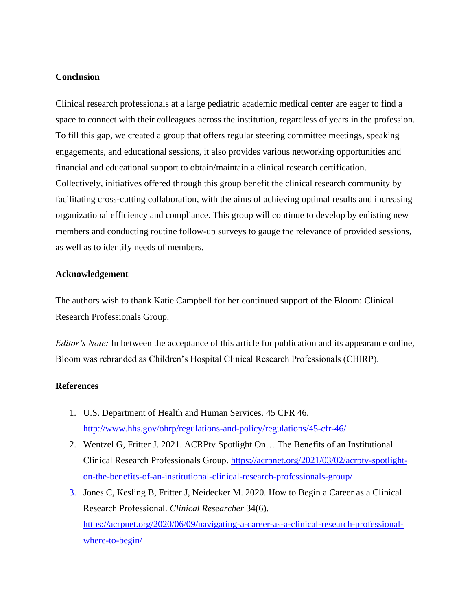# **Conclusion**

Clinical research professionals at a large pediatric academic medical center are eager to find a space to connect with their colleagues across the institution, regardless of years in the profession. To fill this gap, we created a group that offers regular steering committee meetings, speaking engagements, and educational sessions, it also provides various networking opportunities and financial and educational support to obtain/maintain a clinical research certification. Collectively, initiatives offered through this group benefit the clinical research community by facilitating cross-cutting collaboration, with the aims of achieving optimal results and increasing organizational efficiency and compliance. This group will continue to develop by enlisting new members and conducting routine follow-up surveys to gauge the relevance of provided sessions, as well as to identify needs of members.

# **Acknowledgement**

The authors wish to thank Katie Campbell for her continued support of the Bloom: Clinical Research Professionals Group.

*Editor's Note:* In between the acceptance of this article for publication and its appearance online, Bloom was rebranded as Children's Hospital Clinical Research Professionals (CHIRP).

# **References**

- 1. U.S. Department of Health and Human Services. 45 CFR 46. <http://www.hhs.gov/ohrp/regulations-and-policy/regulations/45-cfr-46/>
- 2. Wentzel G, Fritter J. 2021. ACRPtv Spotlight On… The Benefits of an Institutional Clinical Research Professionals Group. [https://acrpnet.org/2021/03/02/acrptv-spotlight](https://acrpnet.org/2021/03/02/acrptv-spotlight-on-the-benefits-of-an-institutional-clinical-research-professionals-group/)[on-the-benefits-of-an-institutional-clinical-research-professionals-group/](https://acrpnet.org/2021/03/02/acrptv-spotlight-on-the-benefits-of-an-institutional-clinical-research-professionals-group/)
- 3. Jones C, Kesling B, Fritter J, Neidecker M. 2020. How to Begin a Career as a Clinical Research Professional. *Clinical Researcher* 34(6). [https://acrpnet.org/2020/06/09/navigating-a-career-as-a-clinical-research-professional](https://acrpnet.org/2020/06/09/navigating-a-career-as-a-clinical-research-professional-where-to-begin/)[where-to-begin/](https://acrpnet.org/2020/06/09/navigating-a-career-as-a-clinical-research-professional-where-to-begin/)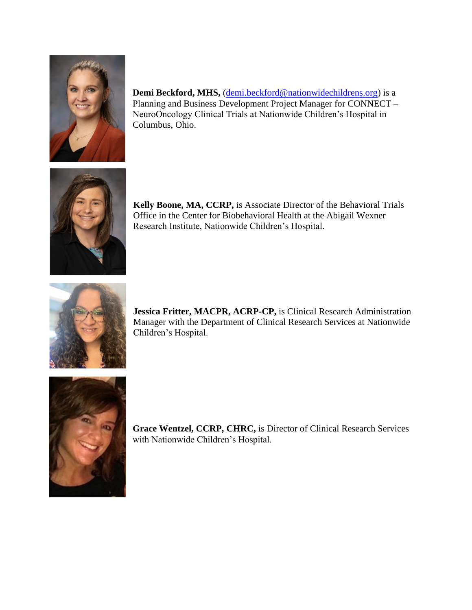

**Demi Beckford, MHS,** [\(demi.beckford@nationwidechildrens.org\)](mailto:demi.beckford@nationwidechildrens.org) is a Planning and Business Development Project Manager for CONNECT – NeuroOncology Clinical Trials at Nationwide Children's Hospital in Columbus, Ohio.



**Kelly Boone, MA, CCRP,** is Associate Director of the Behavioral Trials Office in the Center for Biobehavioral Health at the Abigail Wexner Research Institute, Nationwide Children's Hospital.



**Jessica Fritter, MACPR, ACRP-CP,** is Clinical Research Administration Manager with the Department of Clinical Research Services at Nationwide Children's Hospital.



**Grace Wentzel, CCRP, CHRC,** is Director of Clinical Research Services with Nationwide Children's Hospital.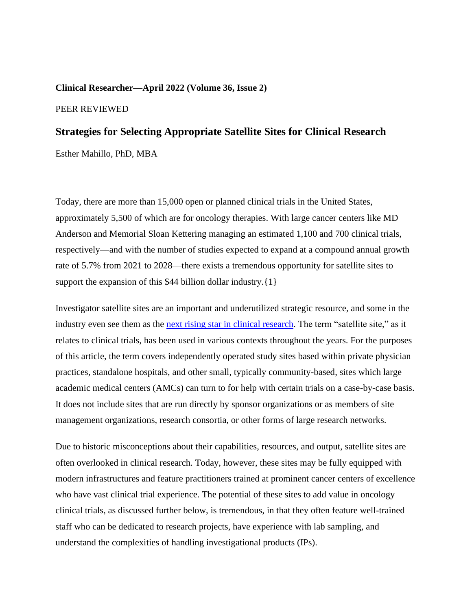#### **Clinical Researcher—April 2022 (Volume 36, Issue 2)**

#### PEER REVIEWED

# **Strategies for Selecting Appropriate Satellite Sites for Clinical Research**

Esther Mahillo, PhD, MBA

Today, there are more than 15,000 open or planned clinical trials in the United States, approximately 5,500 of which are for oncology therapies. With large cancer centers like MD Anderson and Memorial Sloan Kettering managing an estimated 1,100 and 700 clinical trials, respectively—and with the number of studies expected to expand at a compound annual growth rate of 5.7% from 2021 to 2028—there exists a tremendous opportunity for satellite sites to support the expansion of this \$44 billion dollar industry. {1}

Investigator satellite sites are an important and underutilized strategic resource, and some in the industry even see them as the [next rising star in clinical research.](https://www.precisionformedicine.com/blogs/historic-misconceptions-and-untapped-opportunities-why-satellites-are-the-next-rising-stars-in-clinical-research/) The term "satellite site," as it relates to clinical trials, has been used in various contexts throughout the years. For the purposes of this article, the term covers independently operated study sites based within private physician practices, standalone hospitals, and other small, typically community-based, sites which large academic medical centers (AMCs) can turn to for help with certain trials on a case-by-case basis. It does not include sites that are run directly by sponsor organizations or as members of site management organizations, research consortia, or other forms of large research networks.

Due to historic misconceptions about their capabilities, resources, and output, satellite sites are often overlooked in clinical research. Today, however, these sites may be fully equipped with modern infrastructures and feature practitioners trained at prominent cancer centers of excellence who have vast clinical trial experience. The potential of these sites to add value in oncology clinical trials, as discussed further below, is tremendous, in that they often feature well-trained staff who can be dedicated to research projects, have experience with lab sampling, and understand the complexities of handling investigational products (IPs).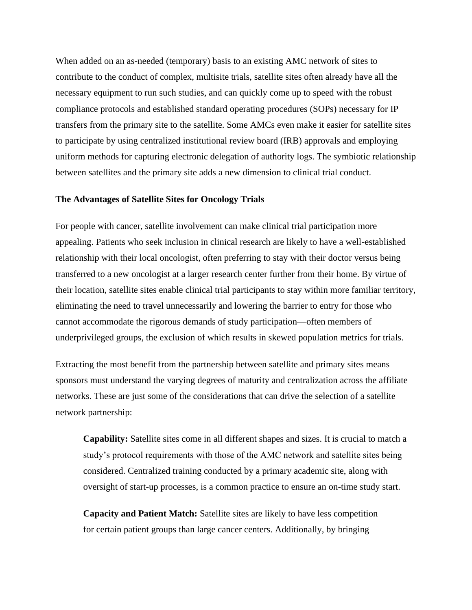When added on an as-needed (temporary) basis to an existing AMC network of sites to contribute to the conduct of complex, multisite trials, satellite sites often already have all the necessary equipment to run such studies, and can quickly come up to speed with the robust compliance protocols and established standard operating procedures (SOPs) necessary for IP transfers from the primary site to the satellite. Some AMCs even make it easier for satellite sites to participate by using centralized institutional review board (IRB) approvals and employing uniform methods for capturing electronic delegation of authority logs. The symbiotic relationship between satellites and the primary site adds a new dimension to clinical trial conduct.

#### **The Advantages of Satellite Sites for Oncology Trials**

For people with cancer, satellite involvement can make clinical trial participation more appealing. Patients who seek inclusion in clinical research are likely to have a well-established relationship with their local oncologist, often preferring to stay with their doctor versus being transferred to a new oncologist at a larger research center further from their home. By virtue of their location, satellite sites enable clinical trial participants to stay within more familiar territory, eliminating the need to travel unnecessarily and lowering the barrier to entry for those who cannot accommodate the rigorous demands of study participation—often members of underprivileged groups, the exclusion of which results in skewed population metrics for trials.

Extracting the most benefit from the partnership between satellite and primary sites means sponsors must understand the varying degrees of maturity and centralization across the affiliate networks. These are just some of the considerations that can drive the selection of a satellite network partnership:

**Capability:** Satellite sites come in all different shapes and sizes. It is crucial to match a study's protocol requirements with those of the AMC network and satellite sites being considered. Centralized training conducted by a primary academic site, along with oversight of start-up processes, is a common practice to ensure an on-time study start.

**Capacity and Patient Match:** Satellite sites are likely to have less competition for certain patient groups than large cancer centers. Additionally, by bringing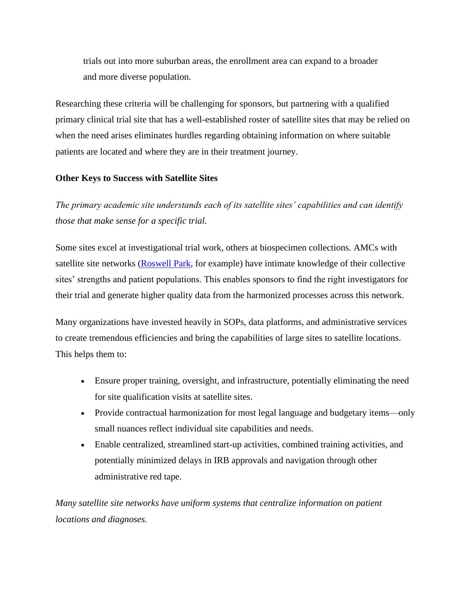trials out into more suburban areas, the enrollment area can expand to a broader and more diverse population.

Researching these criteria will be challenging for sponsors, but partnering with a qualified primary clinical trial site that has a well-established roster of satellite sites that may be relied on when the need arises eliminates hurdles regarding obtaining information on where suitable patients are located and where they are in their treatment journey.

# **Other Keys to Success with Satellite Sites**

*The primary academic site understands each of its satellite sites' capabilities and can identify those that make sense for a specific trial.*

Some sites excel at investigational trial work, others at biospecimen collections. AMCs with satellite site networks [\(Roswell Park,](https://www.roswellpark.org/) for example) have intimate knowledge of their collective sites' strengths and patient populations. This enables sponsors to find the right investigators for their trial and generate higher quality data from the harmonized processes across this network.

Many organizations have invested heavily in SOPs, data platforms, and administrative services to create tremendous efficiencies and bring the capabilities of large sites to satellite locations. This helps them to:

- Ensure proper training, oversight, and infrastructure, potentially eliminating the need for site qualification visits at satellite sites.
- Provide contractual harmonization for most legal language and budgetary items—only small nuances reflect individual site capabilities and needs.
- Enable centralized, streamlined start-up activities, combined training activities, and potentially minimized delays in IRB approvals and navigation through other administrative red tape.

*Many satellite site networks have uniform systems that centralize information on patient locations and diagnoses.*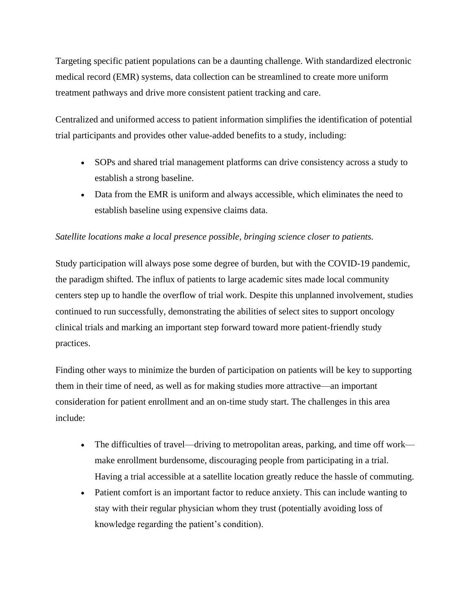Targeting specific patient populations can be a daunting challenge. With standardized electronic medical record (EMR) systems, data collection can be streamlined to create more uniform treatment pathways and drive more consistent patient tracking and care.

Centralized and uniformed access to patient information simplifies the identification of potential trial participants and provides other value-added benefits to a study, including:

- SOPs and shared trial management platforms can drive consistency across a study to establish a strong baseline.
- Data from the EMR is uniform and always accessible, which eliminates the need to establish baseline using expensive claims data.

# *Satellite locations make a local presence possible, bringing science closer to patients.*

Study participation will always pose some degree of burden, but with the COVID-19 pandemic, the paradigm shifted. The influx of patients to large academic sites made local community centers step up to handle the overflow of trial work. Despite this unplanned involvement, studies continued to run successfully, demonstrating the abilities of select sites to support oncology clinical trials and marking an important step forward toward more patient-friendly study practices.

Finding other ways to minimize the burden of participation on patients will be key to supporting them in their time of need, as well as for making studies more attractive—an important consideration for patient enrollment and an on-time study start. The challenges in this area include:

- The difficulties of travel—driving to metropolitan areas, parking, and time off work make enrollment burdensome, discouraging people from participating in a trial. Having a trial accessible at a satellite location greatly reduce the hassle of commuting.
- Patient comfort is an important factor to reduce anxiety. This can include wanting to stay with their regular physician whom they trust (potentially avoiding loss of knowledge regarding the patient's condition).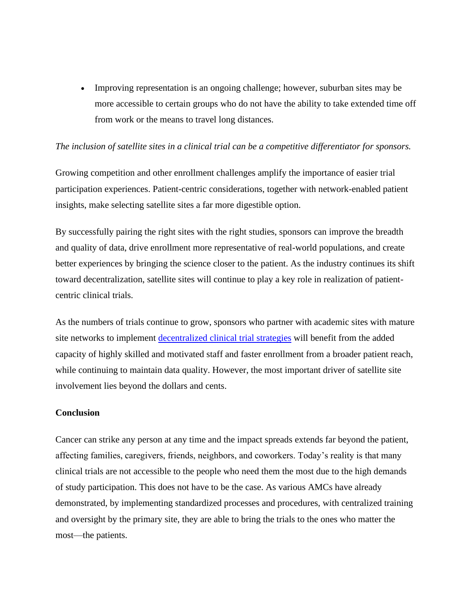• Improving representation is an ongoing challenge; however, suburban sites may be more accessible to certain groups who do not have the ability to take extended time off from work or the means to travel long distances.

# *The inclusion of satellite sites in a clinical trial can be a competitive differentiator for sponsors.*

Growing competition and other enrollment challenges amplify the importance of easier trial participation experiences. Patient-centric considerations, together with network-enabled patient insights, make selecting satellite sites a far more digestible option.

By successfully pairing the right sites with the right studies, sponsors can improve the breadth and quality of data, drive enrollment more representative of real-world populations, and create better experiences by bringing the science closer to the patient. As the industry continues its shift toward decentralization, satellite sites will continue to play a key role in realization of patientcentric clinical trials.

As the numbers of trials continue to grow, sponsors who partner with academic sites with mature site networks to implement [decentralized clinical trial strategies](https://acrpnet.org/decentralized-clinical-trials-perspectives-for-clinical-research-professionals/) will benefit from the added capacity of highly skilled and motivated staff and faster enrollment from a broader patient reach, while continuing to maintain data quality. However, the most important driver of satellite site involvement lies beyond the dollars and cents.

#### **Conclusion**

Cancer can strike any person at any time and the impact spreads extends far beyond the patient, affecting families, caregivers, friends, neighbors, and coworkers. Today's reality is that many clinical trials are not accessible to the people who need them the most due to the high demands of study participation. This does not have to be the case. As various AMCs have already demonstrated, by implementing standardized processes and procedures, with centralized training and oversight by the primary site, they are able to bring the trials to the ones who matter the most—the patients.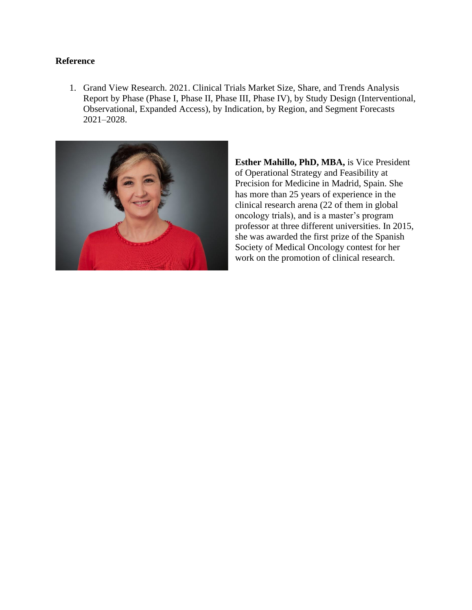# **Reference**

1. Grand View Research. 2021. Clinical Trials Market Size, Share, and Trends Analysis Report by Phase (Phase I, Phase II, Phase III, Phase IV), by Study Design (Interventional, Observational, Expanded Access), by Indication, by Region, and Segment Forecasts 2021–2028.



**Esther Mahillo, PhD, MBA, is Vice President** of Operational Strategy and Feasibility at Precision for Medicine in Madrid, Spain. She has more than 25 years of experience in the clinical research arena (22 of them in global oncology trials), and is a master's program professor at three different universities. In 2015, she was awarded the first prize of the Spanish Society of Medical Oncology contest for her work on the promotion of clinical research.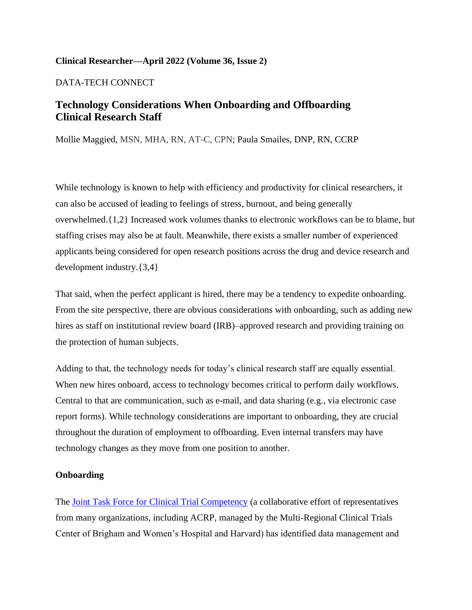# **Clinical Researcher—April 2022 (Volume 36, Issue 2)**

DATA-TECH CONNECT

# **Technology Considerations When Onboarding and Offboarding Clinical Research Staff**

Mollie Maggied, MSN, MHA, RN, AT-C, CPN; Paula Smailes, DNP, RN, CCRP

While technology is known to help with efficiency and productivity for clinical researchers, it can also be accused of leading to feelings of stress, burnout, and being generally overwhelmed.{1,2} Increased work volumes thanks to electronic workflows can be to blame, but staffing crises may also be at fault. Meanwhile, there exists a smaller number of experienced applicants being considered for open research positions across the drug and device research and development industry.{3,4}

That said, when the perfect applicant is hired, there may be a tendency to expedite onboarding. From the site perspective, there are obvious considerations with onboarding, such as adding new hires as staff on institutional review board (IRB)–approved research and providing training on the protection of human subjects.

Adding to that, the technology needs for today's clinical research staff are equally essential. When new hires onboard, access to technology becomes critical to perform daily workflows. Central to that are communication, such as e-mail, and data sharing (e.g., via electronic case report forms). While technology considerations are important to onboarding, they are crucial throughout the duration of employment to offboarding. Even internal transfers may have technology changes as they move from one position to another.

#### **Onboarding**

The **Joint Task Force for Clinical Trial Competency** (a collaborative effort of representatives from many organizations, including ACRP, managed by the Multi-Regional Clinical Trials Center of Brigham and Women's Hospital and Harvard) has identified data management and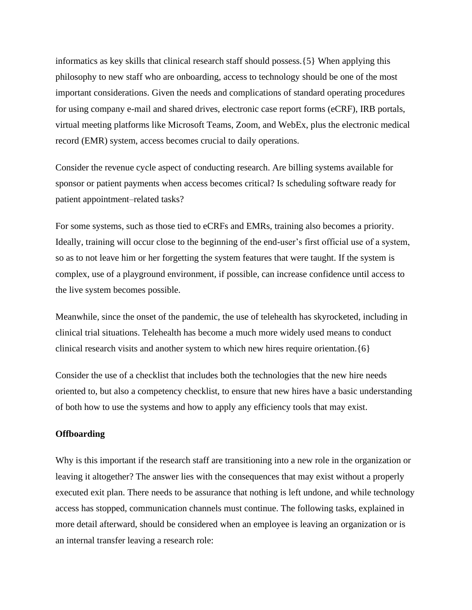informatics as key skills that clinical research staff should possess.{5} When applying this philosophy to new staff who are onboarding, access to technology should be one of the most important considerations. Given the needs and complications of standard operating procedures for using company e-mail and shared drives, electronic case report forms (eCRF), IRB portals, virtual meeting platforms like Microsoft Teams, Zoom, and WebEx, plus the electronic medical record (EMR) system, access becomes crucial to daily operations.

Consider the revenue cycle aspect of conducting research. Are billing systems available for sponsor or patient payments when access becomes critical? Is scheduling software ready for patient appointment–related tasks?

For some systems, such as those tied to eCRFs and EMRs, training also becomes a priority. Ideally, training will occur close to the beginning of the end-user's first official use of a system, so as to not leave him or her forgetting the system features that were taught. If the system is complex, use of a playground environment, if possible, can increase confidence until access to the live system becomes possible.

Meanwhile, since the onset of the pandemic, the use of telehealth has skyrocketed, including in clinical trial situations. Telehealth has become a much more widely used means to conduct clinical research visits and another system to which new hires require orientation.{6}

Consider the use of a checklist that includes both the technologies that the new hire needs oriented to, but also a competency checklist, to ensure that new hires have a basic understanding of both how to use the systems and how to apply any efficiency tools that may exist.

#### **Offboarding**

Why is this important if the research staff are transitioning into a new role in the organization or leaving it altogether? The answer lies with the consequences that may exist without a properly executed exit plan. There needs to be assurance that nothing is left undone, and while technology access has stopped, communication channels must continue. The following tasks, explained in more detail afterward, should be considered when an employee is leaving an organization or is an internal transfer leaving a research role: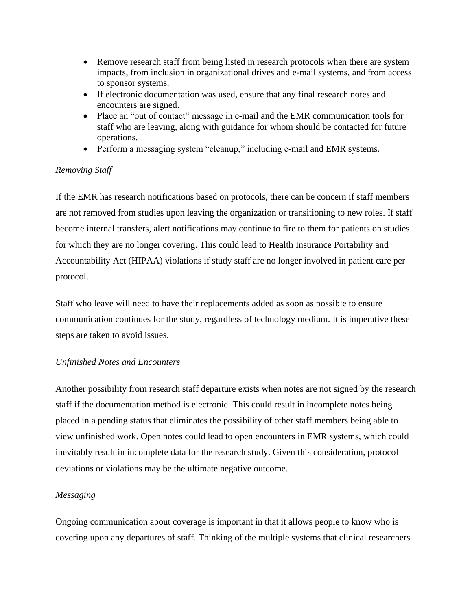- Remove research staff from being listed in research protocols when there are system impacts, from inclusion in organizational drives and e-mail systems, and from access to sponsor systems.
- If electronic documentation was used, ensure that any final research notes and encounters are signed.
- Place an "out of contact" message in e-mail and the EMR communication tools for staff who are leaving, along with guidance for whom should be contacted for future operations.
- Perform a messaging system "cleanup," including e-mail and EMR systems.

# *Removing Staff*

If the EMR has research notifications based on protocols, there can be concern if staff members are not removed from studies upon leaving the organization or transitioning to new roles. If staff become internal transfers, alert notifications may continue to fire to them for patients on studies for which they are no longer covering. This could lead to Health Insurance Portability and Accountability Act (HIPAA) violations if study staff are no longer involved in patient care per protocol.

Staff who leave will need to have their replacements added as soon as possible to ensure communication continues for the study, regardless of technology medium. It is imperative these steps are taken to avoid issues.

# *Unfinished Notes and Encounters*

Another possibility from research staff departure exists when notes are not signed by the research staff if the documentation method is electronic. This could result in incomplete notes being placed in a pending status that eliminates the possibility of other staff members being able to view unfinished work. Open notes could lead to open encounters in EMR systems, which could inevitably result in incomplete data for the research study. Given this consideration, protocol deviations or violations may be the ultimate negative outcome.

# *Messaging*

Ongoing communication about coverage is important in that it allows people to know who is covering upon any departures of staff. Thinking of the multiple systems that clinical researchers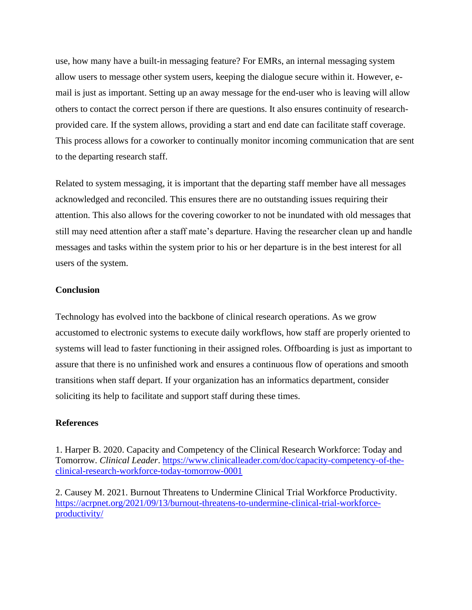use, how many have a built-in messaging feature? For EMRs, an internal messaging system allow users to message other system users, keeping the dialogue secure within it. However, email is just as important. Setting up an away message for the end-user who is leaving will allow others to contact the correct person if there are questions. It also ensures continuity of researchprovided care. If the system allows, providing a start and end date can facilitate staff coverage. This process allows for a coworker to continually monitor incoming communication that are sent to the departing research staff.

Related to system messaging, it is important that the departing staff member have all messages acknowledged and reconciled. This ensures there are no outstanding issues requiring their attention. This also allows for the covering coworker to not be inundated with old messages that still may need attention after a staff mate's departure. Having the researcher clean up and handle messages and tasks within the system prior to his or her departure is in the best interest for all users of the system.

#### **Conclusion**

Technology has evolved into the backbone of clinical research operations. As we grow accustomed to electronic systems to execute daily workflows, how staff are properly oriented to systems will lead to faster functioning in their assigned roles. Offboarding is just as important to assure that there is no unfinished work and ensures a continuous flow of operations and smooth transitions when staff depart. If your organization has an informatics department, consider soliciting its help to facilitate and support staff during these times.

# **References**

1. Harper B. 2020. Capacity and Competency of the Clinical Research Workforce: Today and Tomorrow. *Clinical Leader*. [https://www.clinicalleader.com/doc/capacity-competency-of-the](https://www.clinicalleader.com/doc/capacity-competency-of-the-clinical-research-workforce-today-tomorrow-0001)[clinical-research-workforce-today-tomorrow-0001](https://www.clinicalleader.com/doc/capacity-competency-of-the-clinical-research-workforce-today-tomorrow-0001)

2. Causey M. 2021. Burnout Threatens to Undermine Clinical Trial Workforce Productivity. [https://acrpnet.org/2021/09/13/burnout-threatens-to-undermine-clinical-trial-workforce](https://acrpnet.org/2021/09/13/burnout-threatens-to-undermine-clinical-trial-workforce-productivity/)[productivity/](https://acrpnet.org/2021/09/13/burnout-threatens-to-undermine-clinical-trial-workforce-productivity/)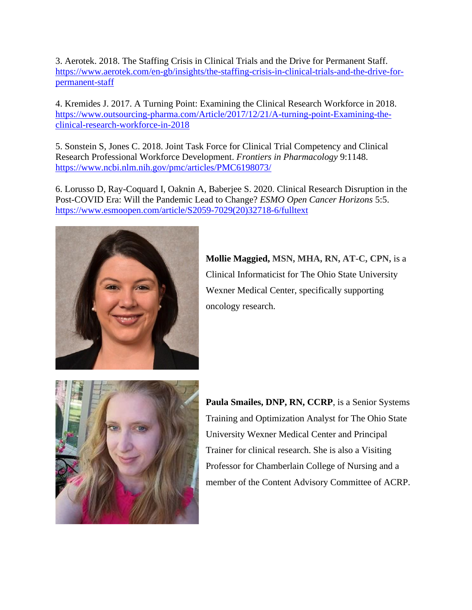3. Aerotek. 2018. The Staffing Crisis in Clinical Trials and the Drive for Permanent Staff. [https://www.aerotek.com/en-gb/insights/the-staffing-crisis-in-clinical-trials-and-the-drive-for](https://www.aerotek.com/en-gb/insights/the-staffing-crisis-in-clinical-trials-and-the-drive-for-permanent-staff)[permanent-staff](https://www.aerotek.com/en-gb/insights/the-staffing-crisis-in-clinical-trials-and-the-drive-for-permanent-staff)

4. Kremides J. 2017. A Turning Point: Examining the Clinical Research Workforce in 2018. [https://www.outsourcing-pharma.com/Article/2017/12/21/A-turning-point-Examining-the](https://www.outsourcing-pharma.com/Article/2017/12/21/A-turning-point-Examining-the-clinical-research-workforce-in-2018)[clinical-research-workforce-in-2018](https://www.outsourcing-pharma.com/Article/2017/12/21/A-turning-point-Examining-the-clinical-research-workforce-in-2018)

5. Sonstein S, Jones C. 2018. Joint Task Force for Clinical Trial Competency and Clinical Research Professional Workforce Development. *Frontiers in Pharmacology* 9:1148. <https://www.ncbi.nlm.nih.gov/pmc/articles/PMC6198073/>

6. Lorusso D, Ray-Coquard I, Oaknin A, Baberjee S. 2020. Clinical Research Disruption in the Post-COVID Era: Will the Pandemic Lead to Change? *ESMO Open Cancer Horizons* 5:5. [https://www.esmoopen.com/article/S2059-7029\(20\)32718-6/fulltext](https://www.esmoopen.com/article/S2059-7029(20)32718-6/fulltext)



**Mollie Maggied, MSN, MHA, RN, AT-C, CPN,** is a Clinical Informaticist for The Ohio State University Wexner Medical Center, specifically supporting oncology research.



**Paula Smailes, DNP, RN, CCRP**, is a Senior Systems Training and Optimization Analyst for The Ohio State University Wexner Medical Center and Principal Trainer for clinical research. She is also a Visiting Professor for Chamberlain College of Nursing and a member of the Content Advisory Committee of ACRP.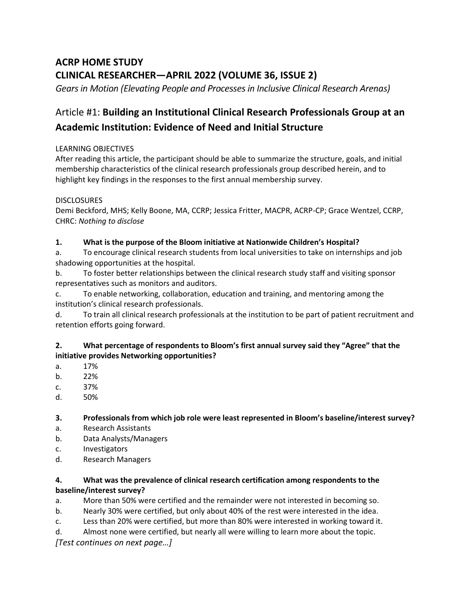# **ACRP HOME STUDY CLINICAL RESEARCHER—APRIL 2022 (VOLUME 36, ISSUE 2)**

Gears in Motion (Elevating People and Processes in Inclusive Clinical Research Arenas)

# Article #1: **Building an Institutional Clinical Research Professionals Group at an Academic Institution: Evidence of Need and Initial Structure**

# LEARNING OBJECTIVES

After reading this article, the participant should be able to summarize the structure, goals, and initial membership characteristics of the clinical research professionals group described herein, and to highlight key findings in the responses to the first annual membership survey.

# **DISCLOSURES**

Demi Beckford, MHS; Kelly Boone, MA, CCRP; Jessica Fritter, MACPR, ACRP-CP; Grace Wentzel, CCRP, CHRC: *Nothing to disclose*

# **1. What is the purpose of the Bloom initiative at Nationwide Children's Hospital?**

a. To encourage clinical research students from local universities to take on internships and job shadowing opportunities at the hospital.

b. To foster better relationships between the clinical research study staff and visiting sponsor representatives such as monitors and auditors.

c. To enable networking, collaboration, education and training, and mentoring among the institution's clinical research professionals.

d. To train all clinical research professionals at the institution to be part of patient recruitment and retention efforts going forward.

# **2. What percentage of respondents to Bloom's first annual survey said they "Agree" that the initiative provides Networking opportunities?**

- a. 17%
- b. 22%
- c. 37%
- d. 50%

# **3. Professionals from which job role were least represented in Bloom's baseline/interest survey?**

- a. Research Assistants
- b. Data Analysts/Managers
- c. Investigators
- d. Research Managers

# **4. What was the prevalence of clinical research certification among respondents to the baseline/interest survey?**

- a. More than 50% were certified and the remainder were not interested in becoming so.
- b. Nearly 30% were certified, but only about 40% of the rest were interested in the idea.
- c. Less than 20% were certified, but more than 80% were interested in working toward it.
- d. Almost none were certified, but nearly all were willing to learn more about the topic.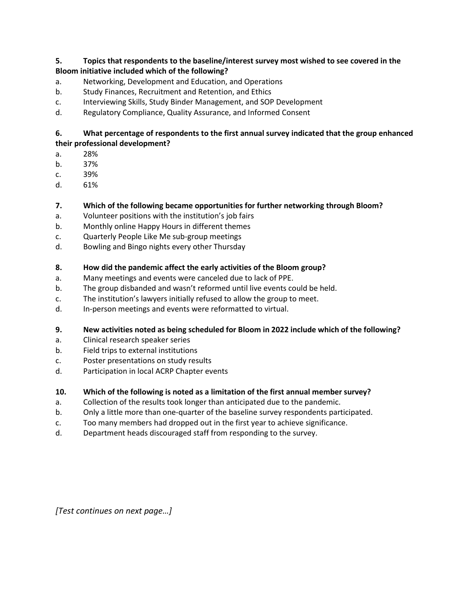# **5. Topics that respondents to the baseline/interest survey most wished to see covered in the Bloom initiative included which of the following?**

- a. Networking, Development and Education, and Operations
- b. Study Finances, Recruitment and Retention, and Ethics
- c. Interviewing Skills, Study Binder Management, and SOP Development
- d. Regulatory Compliance, Quality Assurance, and Informed Consent

# **6. What percentage of respondents to the first annual survey indicated that the group enhanced their professional development?**

- a. 28%
- b. 37%
- c. 39%
- d. 61%

# **7. Which of the following became opportunities for further networking through Bloom?**

- a. Volunteer positions with the institution's job fairs
- b. Monthly online Happy Hours in different themes
- c. Quarterly People Like Me sub-group meetings
- d. Bowling and Bingo nights every other Thursday

# **8. How did the pandemic affect the early activities of the Bloom group?**

- a. Many meetings and events were canceled due to lack of PPE.
- b. The group disbanded and wasn't reformed until live events could be held.
- c. The institution's lawyers initially refused to allow the group to meet.
- d. In-person meetings and events were reformatted to virtual.

# **9. New activities noted as being scheduled for Bloom in 2022 include which of the following?**

- a. Clinical research speaker series
- b. Field trips to external institutions
- c. Poster presentations on study results
- d. Participation in local ACRP Chapter events

# **10. Which of the following is noted as a limitation of the first annual member survey?**

- a. Collection of the results took longer than anticipated due to the pandemic.
- b. Only a little more than one-quarter of the baseline survey respondents participated.
- c. Too many members had dropped out in the first year to achieve significance.
- d. Department heads discouraged staff from responding to the survey.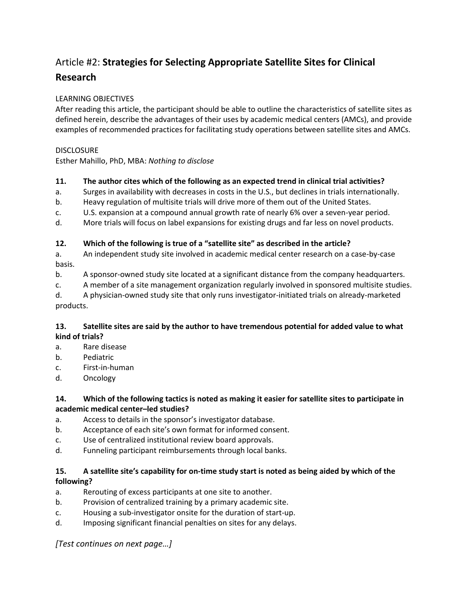# Article #2: **Strategies for Selecting Appropriate Satellite Sites for Clinical Research**

# LEARNING OBJECTIVES

After reading this article, the participant should be able to outline the characteristics of satellite sites as defined herein, describe the advantages of their uses by academic medical centers (AMCs), and provide examples of recommended practices for facilitating study operations between satellite sites and AMCs.

# **DISCLOSURE**

Esther Mahillo, PhD, MBA: *Nothing to disclose*

# **11. The author cites which of the following as an expected trend in clinical trial activities?**

- a. Surges in availability with decreases in costs in the U.S., but declines in trials internationally.
- b. Heavy regulation of multisite trials will drive more of them out of the United States.
- c. U.S. expansion at a compound annual growth rate of nearly 6% over a seven-year period.
- d. More trials will focus on label expansions for existing drugs and far less on novel products.

# **12. Which of the following is true of a "satellite site" as described in the article?**

a. An independent study site involved in academic medical center research on a case-by-case basis.

- b. A sponsor-owned study site located at a significant distance from the company headquarters.
- c. A member of a site management organization regularly involved in sponsored multisite studies.

d. A physician-owned study site that only runs investigator-initiated trials on already-marketed products.

# **13. Satellite sites are said by the author to have tremendous potential for added value to what kind of trials?**

- a. Rare disease
- b. Pediatric
- c. First-in-human
- d. Oncology

# **14. Which of the following tactics is noted as making it easier for satellite sites to participate in academic medical center–led studies?**

- a. Access to details in the sponsor's investigator database.
- b. Acceptance of each site's own format for informed consent.
- c. Use of centralized institutional review board approvals.
- d. Funneling participant reimbursements through local banks.

# **15. A satellite site's capability for on-time study start is noted as being aided by which of the following?**

- a. Rerouting of excess participants at one site to another.
- b. Provision of centralized training by a primary academic site.
- c. Housing a sub-investigator onsite for the duration of start-up.
- d. Imposing significant financial penalties on sites for any delays.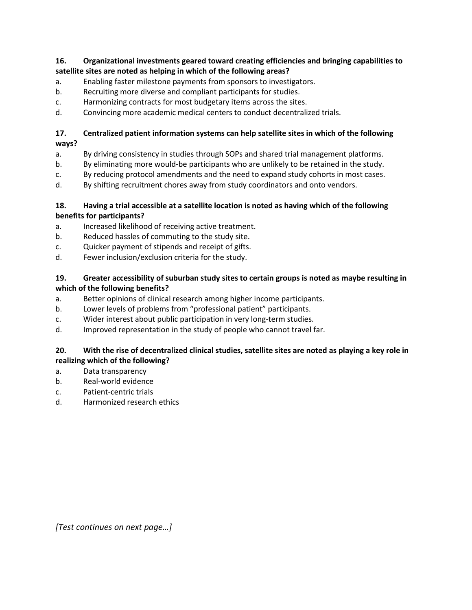# **16. Organizational investments geared toward creating efficiencies and bringing capabilities to satellite sites are noted as helping in which of the following areas?**

- a. Enabling faster milestone payments from sponsors to investigators.
- b. Recruiting more diverse and compliant participants for studies.
- c. Harmonizing contracts for most budgetary items across the sites.
- d. Convincing more academic medical centers to conduct decentralized trials.

#### **17. Centralized patient information systems can help satellite sites in which of the following ways?**

- a. By driving consistency in studies through SOPs and shared trial management platforms.
- b. By eliminating more would-be participants who are unlikely to be retained in the study.
- c. By reducing protocol amendments and the need to expand study cohorts in most cases.
- d. By shifting recruitment chores away from study coordinators and onto vendors.

#### **18. Having a trial accessible at a satellite location is noted as having which of the following benefits for participants?**

- a. Increased likelihood of receiving active treatment.
- b. Reduced hassles of commuting to the study site.
- c. Quicker payment of stipends and receipt of gifts.
- d. Fewer inclusion/exclusion criteria for the study.

# **19. Greater accessibility of suburban study sites to certain groups is noted as maybe resulting in which of the following benefits?**

- a. Better opinions of clinical research among higher income participants.
- b. Lower levels of problems from "professional patient" participants.
- c. Wider interest about public participation in very long-term studies.
- d. Improved representation in the study of people who cannot travel far.

# **20. With the rise of decentralized clinical studies, satellite sites are noted as playing a key role in realizing which of the following?**

- a. Data transparency
- b. Real-world evidence
- c. Patient-centric trials
- d. Harmonized research ethics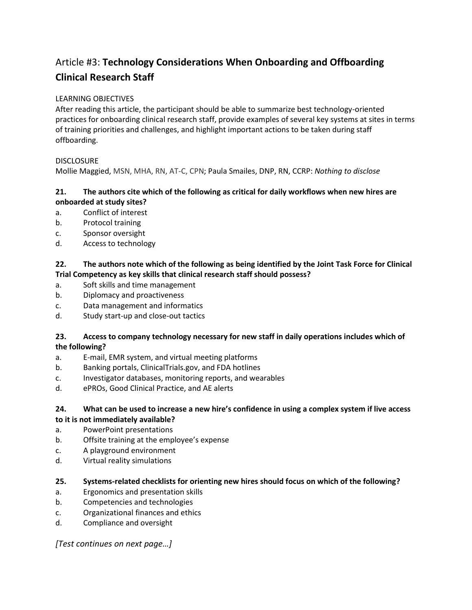# Article #3: **Technology Considerations When Onboarding and Offboarding Clinical Research Staff**

# LEARNING OBJECTIVES

After reading this article, the participant should be able to summarize best technology-oriented practices for onboarding clinical research staff, provide examples of several key systems at sites in terms of training priorities and challenges, and highlight important actions to be taken during staff offboarding.

# **DISCLOSURE**

Mollie Maggied, MSN, MHA, RN, AT-C, CPN; Paula Smailes, DNP, RN, CCRP: *Nothing to disclose*

# **21. The authors cite which of the following as critical for daily workflows when new hires are onboarded at study sites?**

- a. Conflict of interest
- b. Protocol training
- c. Sponsor oversight
- d. Access to technology

# **22. The authors note which of the following as being identified by the Joint Task Force for Clinical Trial Competency as key skills that clinical research staff should possess?**

- a. Soft skills and time management
- b. Diplomacy and proactiveness
- c. Data management and informatics
- d. Study start-up and close-out tactics

# **23. Access to company technology necessary for new staff in daily operations includes which of the following?**

- a. E-mail, EMR system, and virtual meeting platforms
- b. Banking portals, ClinicalTrials.gov, and FDA hotlines
- c. Investigator databases, monitoring reports, and wearables
- d. ePROs, Good Clinical Practice, and AE alerts

# **24. What can be used to increase a new hire's confidence in using a complex system if live access to it is not immediately available?**

- a. PowerPoint presentations
- b. Offsite training at the employee's expense
- c. A playground environment
- d. Virtual reality simulations

# **25. Systems-related checklists for orienting new hires should focus on which of the following?**

- a. Ergonomics and presentation skills
- b. Competencies and technologies
- c. Organizational finances and ethics
- d. Compliance and oversight